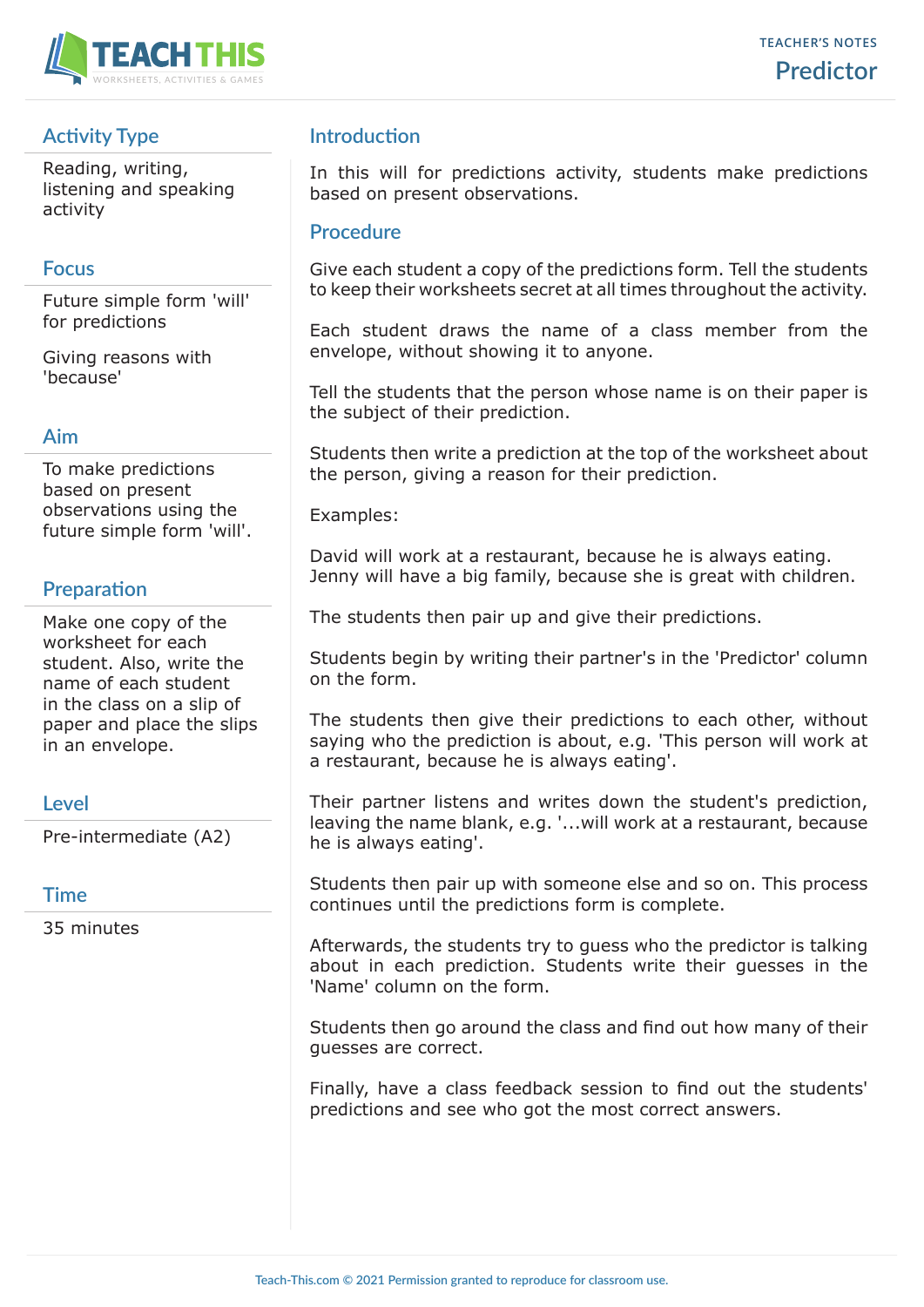

# **Activity Type**

Reading, writing, listening and speaking activity

### **Focus**

Future simple form 'will' for predictions

Giving reasons with 'because'

#### **Aim**

To make predictions based on present observations using the future simple form 'will'.

## **Preparation**

Make one copy of the worksheet for each student. Also, write the name of each student in the class on a slip of paper and place the slips in an envelope.

## **Level**

Pre-intermediate (A2)

## **Time**

35 minutes

# **Introduction**

In this will for predictions activity, students make predictions based on present observations.

### **Procedure**

Give each student a copy of the predictions form. Tell the students to keep their worksheets secret at all times throughout the activity.

Each student draws the name of a class member from the envelope, without showing it to anyone.

Tell the students that the person whose name is on their paper is the subject of their prediction.

Students then write a prediction at the top of the worksheet about the person, giving a reason for their prediction.

Examples:

David will work at a restaurant, because he is always eating. Jenny will have a big family, because she is great with children.

The students then pair up and give their predictions.

Students begin by writing their partner's in the 'Predictor' column on the form.

The students then give their predictions to each other, without saying who the prediction is about, e.g. 'This person will work at a restaurant, because he is always eating'.

Their partner listens and writes down the student's prediction, leaving the name blank, e.g. '...will work at a restaurant, because he is always eating'.

Students then pair up with someone else and so on. This process continues until the predictions form is complete.

Afterwards, the students try to guess who the predictor is talking about in each prediction. Students write their guesses in the 'Name' column on the form.

Students then go around the class and find out how many of their guesses are correct.

Finally, have a class feedback session to find out the students' predictions and see who got the most correct answers.